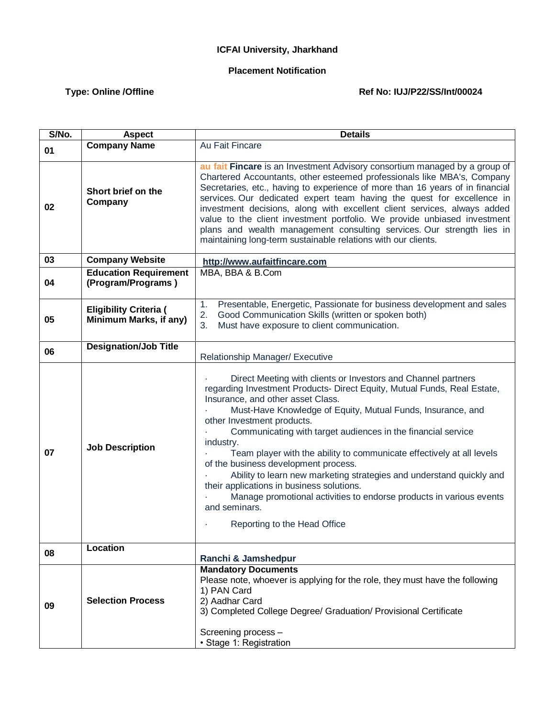## **ICFAI University, Jharkhand**

## **Placement Notification**

## Type: Online /Offline **Matter Ref No: IUJ/P22/SS/Int/00024**

| S/No. | <b>Aspect</b>                                           | <b>Details</b>                                                                                                                                                                                                                                                                                                                                                                                                                                                                                                                                                                                                                                                                                                         |
|-------|---------------------------------------------------------|------------------------------------------------------------------------------------------------------------------------------------------------------------------------------------------------------------------------------------------------------------------------------------------------------------------------------------------------------------------------------------------------------------------------------------------------------------------------------------------------------------------------------------------------------------------------------------------------------------------------------------------------------------------------------------------------------------------------|
| 01    | <b>Company Name</b>                                     | Au Fait Fincare                                                                                                                                                                                                                                                                                                                                                                                                                                                                                                                                                                                                                                                                                                        |
| 02    | Short brief on the<br>Company                           | au fait Fincare is an Investment Advisory consortium managed by a group of<br>Chartered Accountants, other esteemed professionals like MBA's, Company<br>Secretaries, etc., having to experience of more than 16 years of in financial<br>services. Our dedicated expert team having the quest for excellence in<br>investment decisions, along with excellent client services, always added<br>value to the client investment portfolio. We provide unbiased investment<br>plans and wealth management consulting services. Our strength lies in<br>maintaining long-term sustainable relations with our clients.                                                                                                     |
| 03    | <b>Company Website</b>                                  | http://www.aufaitfincare.com                                                                                                                                                                                                                                                                                                                                                                                                                                                                                                                                                                                                                                                                                           |
| 04    | <b>Education Requirement</b><br>(Program/Programs)      | MBA, BBA & B.Com                                                                                                                                                                                                                                                                                                                                                                                                                                                                                                                                                                                                                                                                                                       |
| 05    | <b>Eligibility Criteria (</b><br>Minimum Marks, if any) | Presentable, Energetic, Passionate for business development and sales<br>1.<br>2.<br>Good Communication Skills (written or spoken both)<br>3.<br>Must have exposure to client communication.                                                                                                                                                                                                                                                                                                                                                                                                                                                                                                                           |
| 06    | <b>Designation/Job Title</b>                            | Relationship Manager/ Executive                                                                                                                                                                                                                                                                                                                                                                                                                                                                                                                                                                                                                                                                                        |
| 07    | <b>Job Description</b>                                  | Direct Meeting with clients or Investors and Channel partners<br>regarding Investment Products- Direct Equity, Mutual Funds, Real Estate,<br>Insurance, and other asset Class.<br>Must-Have Knowledge of Equity, Mutual Funds, Insurance, and<br>other Investment products.<br>Communicating with target audiences in the financial service<br>industry.<br>Team player with the ability to communicate effectively at all levels<br>of the business development process.<br>Ability to learn new marketing strategies and understand quickly and<br>their applications in business solutions.<br>Manage promotional activities to endorse products in various events<br>and seminars.<br>Reporting to the Head Office |
| 08    | Location                                                | Ranchi & Jamshedpur                                                                                                                                                                                                                                                                                                                                                                                                                                                                                                                                                                                                                                                                                                    |
| 09    | <b>Selection Process</b>                                | <b>Mandatory Documents</b><br>Please note, whoever is applying for the role, they must have the following<br>1) PAN Card<br>2) Aadhar Card<br>3) Completed College Degree/ Graduation/ Provisional Certificate<br>Screening process -<br>· Stage 1: Registration                                                                                                                                                                                                                                                                                                                                                                                                                                                       |